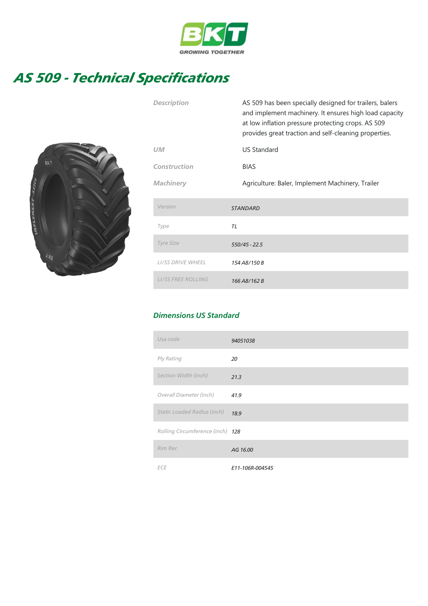

## AS 509 - Technical Specifications



| <b>Description</b>        | AS 509 has been specially designed for trailers, balers<br>and implement machinery. It ensures high load capacity<br>at low inflation pressure protecting crops. AS 509<br>provides great traction and self-cleaning properties. |
|---------------------------|----------------------------------------------------------------------------------------------------------------------------------------------------------------------------------------------------------------------------------|
| <b>UM</b>                 | <b>US Standard</b>                                                                                                                                                                                                               |
| Construction              | <b>BIAS</b>                                                                                                                                                                                                                      |
| <b>Machinery</b>          | Agriculture: Baler, Implement Machinery, Trailer                                                                                                                                                                                 |
| Version                   | <b>STANDARD</b>                                                                                                                                                                                                                  |
| Type                      | TL                                                                                                                                                                                                                               |
| <b>Tyre Size</b>          | 550/45 - 22.5                                                                                                                                                                                                                    |
| <b>LI/SS DRIVE WHEEL</b>  | 154 A8/150 B                                                                                                                                                                                                                     |
| <b>LI/SS FREE ROLLING</b> | 166 A8/162 B                                                                                                                                                                                                                     |

## Dimensions US Standard

| Usa code                         | 94051038        |
|----------------------------------|-----------------|
| Ply Rating                       | 20              |
| Section Width (inch)             | 21.3            |
| Overall Diameter (inch)          | 41.9            |
| Static Loaded Radius (inch)      | 18.9            |
| Rolling Circumference (inch) 128 |                 |
| Rim Rec                          | AG 16.00        |
| <b>ECE</b>                       | E11-106R-004545 |